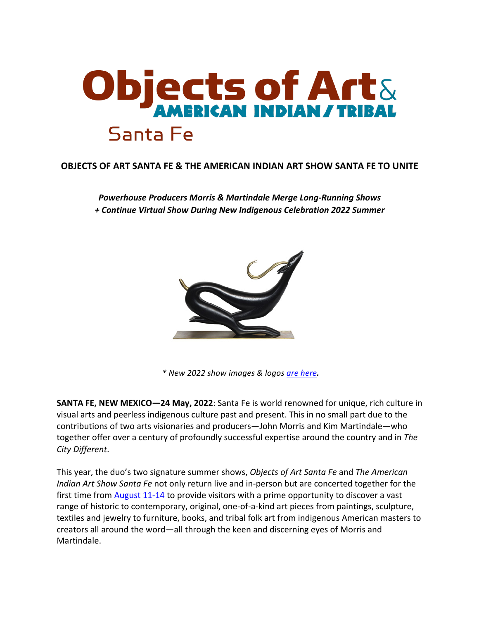

# **OBJECTS OF ART SANTA FE & THE AMERICAN INDIAN ART SHOW SANTA FE TO UNITE**

**Powerhouse Producers Morris & Martindale Merge Long-Running Shows** *+ Continue Virtual Show During New Indigenous Celebration 2022 Summer*



*\* New 2022 show images & logos are here.*

**SANTA FE, NEW MEXICO-24 May, 2022:** Santa Fe is world renowned for unique, rich culture in visual arts and peerless indigenous culture past and present. This in no small part due to the contributions of two arts visionaries and producers—John Morris and Kim Martindale—who together offer over a century of profoundly successful expertise around the country and in *The City Different*.

This year, the duo's two signature summer shows, *Objects of Art Santa Fe* and *The American Indian* Art *Show Santa Fe* not only return live and in-person but are concerted together for the first time from August  $11-14$  to provide visitors with a prime opportunity to discover a vast range of historic to contemporary, original, one-of-a-kind art pieces from paintings, sculpture, textiles and jewelry to furniture, books, and tribal folk art from indigenous American masters to creators all around the word—all through the keen and discerning eyes of Morris and Martindale.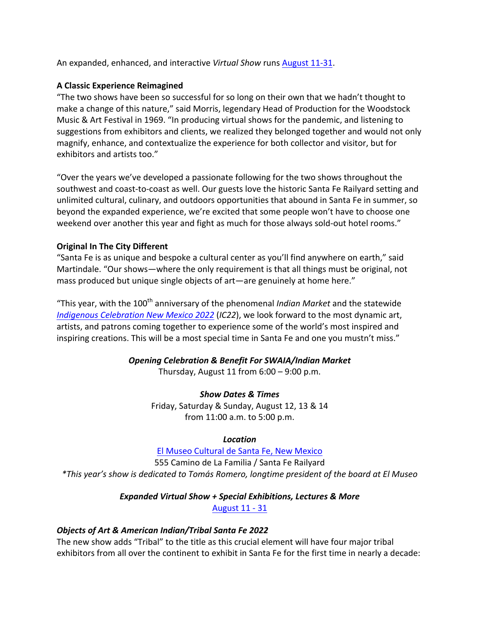An expanded, enhanced, and interactive Virtual Show runs August 11-31.

## **A Classic Experience Reimagined**

"The two shows have been so successful for so long on their own that we hadn't thought to make a change of this nature," said Morris, legendary Head of Production for the Woodstock Music & Art Festival in 1969. "In producing virtual shows for the pandemic, and listening to suggestions from exhibitors and clients, we realized they belonged together and would not only magnify, enhance, and contextualize the experience for both collector and visitor, but for exhibitors and artists too."

"Over the years we've developed a passionate following for the two shows throughout the southwest and coast-to-coast as well. Our guests love the historic Santa Fe Railyard setting and unlimited cultural, culinary, and outdoors opportunities that abound in Santa Fe in summer, so beyond the expanded experience, we're excited that some people won't have to choose one weekend over another this year and fight as much for those always sold-out hotel rooms."

## **Original In The City Different**

"Santa Fe is as unique and bespoke a cultural center as you'll find anywhere on earth," said Martindale. "Our shows—where the only requirement is that all things must be original, not mass produced but unique single objects of art-are genuinely at home here."

"This year, with the 100<sup>th</sup> anniversary of the phenomenal *Indian Market* and the statewide *Indigenous Celebration New Mexico 2022 (IC22),* we look forward to the most dynamic art, artists, and patrons coming together to experience some of the world's most inspired and inspiring creations. This will be a most special time in Santa Fe and one you mustn't miss."

# *Opening Celebration & Benefit For SWAIA/Indian Market*

Thursday, August 11 from  $6:00 - 9:00$  p.m.

### *Show Dates & Times*

Friday, Saturday & Sunday, August 12, 13 & 14 from 11:00 a.m. to 5:00 p.m.

### *Location*

El Museo Cultural de Santa Fe, New Mexico 555 Camino de La Familia / Santa Fe Railyard *\*This year's show is dedicated to Tomás Romero, longtime president of the board at El Museo*

# *Expanded Virtual Show + Special Exhibitions, Lectures & More*

August 11 - 31

### *Objects of Art & American Indian/Tribal Santa Fe 2022*

The new show adds "Tribal" to the title as this crucial element will have four major tribal exhibitors from all over the continent to exhibit in Santa Fe for the first time in nearly a decade: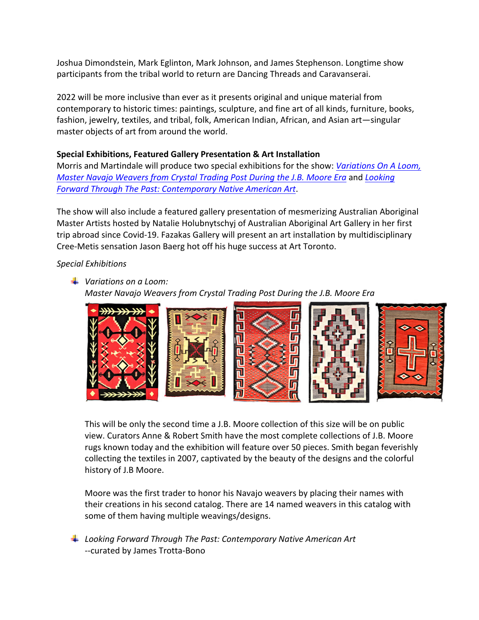Joshua Dimondstein, Mark Eglinton, Mark Johnson, and James Stephenson. Longtime show participants from the tribal world to return are Dancing Threads and Caravanserai.

2022 will be more inclusive than ever as it presents original and unique material from contemporary to historic times: paintings, sculpture, and fine art of all kinds, furniture, books, fashion, jewelry, textiles, and tribal, folk, American Indian, African, and Asian art-singular master objects of art from around the world.

#### **Special Exhibitions, Featured Gallery Presentation & Art Installation**

Morris and Martindale will produce two special exhibitions for the show: *Variations On A Loom*, *Master Navajo Weavers from Crystal Trading Post During the J.B. Moore Era* and *Looking Forward Through The Past: Contemporary Native American Art*.

The show will also include a featured gallery presentation of mesmerizing Australian Aboriginal Master Artists hosted by Natalie Holubnytschyj of Australian Aboriginal Art Gallery in her first trip abroad since Covid-19. Fazakas Gallery will present an art installation by multidisciplinary Cree-Metis sensation Jason Baerg hot off his huge success at Art Toronto.

#### *Special Exhibitions*

### **→** Variations on a Loom:

*Master Navajo Weavers from Crystal Trading Post During the J.B. Moore Era* 



This will be only the second time a J.B. Moore collection of this size will be on public view. Curators Anne & Robert Smith have the most complete collections of J.B. Moore rugs known today and the exhibition will feature over 50 pieces. Smith began feverishly collecting the textiles in 2007, captivated by the beauty of the designs and the colorful history of J.B Moore.

Moore was the first trader to honor his Navajo weavers by placing their names with their creations in his second catalog. There are 14 named weavers in this catalog with some of them having multiple weavings/designs.

**⊥** Looking Forward Through The Past: Contemporary Native American Art --curated by James Trotta-Bono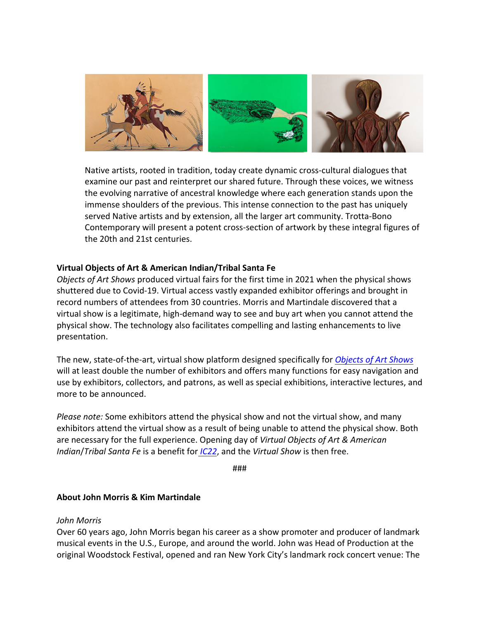

Native artists, rooted in tradition, today create dynamic cross-cultural dialogues that examine our past and reinterpret our shared future. Through these voices, we witness the evolving narrative of ancestral knowledge where each generation stands upon the immense shoulders of the previous. This intense connection to the past has uniquely served Native artists and by extension, all the larger art community. Trotta-Bono Contemporary will present a potent cross-section of artwork by these integral figures of the 20th and 21st centuries.

#### **Virtual Objects of Art & American Indian/Tribal Santa Fe**

*Objects of Art Shows* produced virtual fairs for the first time in 2021 when the physical shows shuttered due to Covid-19. Virtual access vastly expanded exhibitor offerings and brought in record numbers of attendees from 30 countries. Morris and Martindale discovered that a virtual show is a legitimate, high-demand way to see and buy art when you cannot attend the physical show. The technology also facilitates compelling and lasting enhancements to live presentation.

The new, state-of-the-art, virtual show platform designed specifically for *Objects of Art Shows* will at least double the number of exhibitors and offers many functions for easy navigation and use by exhibitors, collectors, and patrons, as well as special exhibitions, interactive lectures, and more to be announced.

*Please note:* Some exhibitors attend the physical show and not the virtual show, and many exhibitors attend the virtual show as a result of being unable to attend the physical show. Both are necessary for the full experience. Opening day of *Virtual Objects of Art & American Indian*/*Tribal Santa Fe* is a benefit for *IC22*, and the *Virtual Show* is then free.

###

#### **About John Morris & Kim Martindale**

#### *John Morris*

Over 60 years ago, John Morris began his career as a show promoter and producer of landmark musical events in the U.S., Europe, and around the world. John was Head of Production at the original Woodstock Festival, opened and ran New York City's landmark rock concert venue: The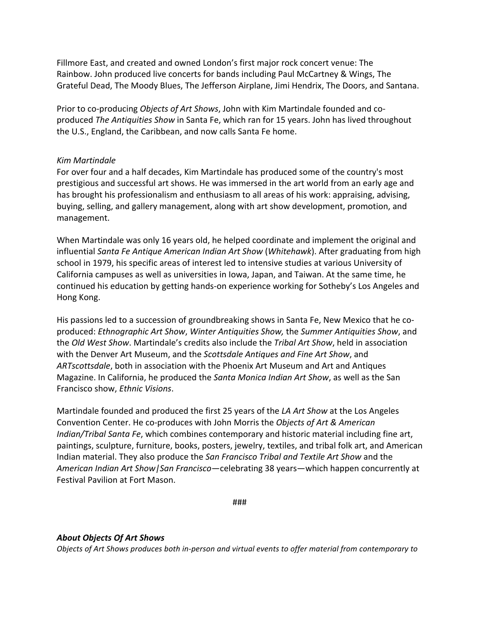Fillmore East, and created and owned London's first major rock concert venue: The Rainbow. John produced live concerts for bands including Paul McCartney & Wings, The Grateful Dead, The Moody Blues, The Jefferson Airplane, Jimi Hendrix, The Doors, and Santana.

Prior to co-producing *Objects of Art Shows*, John with Kim Martindale founded and coproduced *The Antiquities Show* in Santa Fe, which ran for 15 years. John has lived throughout the U.S., England, the Caribbean, and now calls Santa Fe home.

#### *Kim Martindale*

For over four and a half decades, Kim Martindale has produced some of the country's most prestigious and successful art shows. He was immersed in the art world from an early age and has brought his professionalism and enthusiasm to all areas of his work: appraising, advising, buying, selling, and gallery management, along with art show development, promotion, and management.

When Martindale was only 16 years old, he helped coordinate and implement the original and influential *Santa Fe Antique American Indian Art Show* (*Whitehawk*). After graduating from high school in 1979, his specific areas of interest led to intensive studies at various University of California campuses as well as universities in lowa, Japan, and Taiwan. At the same time, he continued his education by getting hands-on experience working for Sotheby's Los Angeles and Hong Kong.

His passions led to a succession of groundbreaking shows in Santa Fe, New Mexico that he coproduced: *Ethnographic Art Show, Winter Antiquities Show, the Summer Antiquities Show,* and the *Old West Show*. Martindale's credits also include the *Tribal Art Show*, held in association with the Denver Art Museum, and the *Scottsdale Antiques and Fine Art Show*, and ARTscottsdale, both in association with the Phoenix Art Museum and Art and Antiques Magazine. In California, he produced the *Santa Monica Indian Art Show*, as well as the San Francisco show, *Ethnic Visions*.

Martindale founded and produced the first 25 years of the *LA Art Show* at the Los Angeles Convention Center. He co-produces with John Morris the *Objects of Art & American Indian/Tribal Santa Fe*, which combines contemporary and historic material including fine art, paintings, sculpture, furniture, books, posters, jewelry, textiles, and tribal folk art, and American Indian material. They also produce the *San Francisco Tribal and Textile Art Show* and the *American Indian Art Show/San Francisco*—celebrating 38 years—which happen concurrently at Festival Pavilion at Fort Mason.

###

### *About Objects Of Art Shows*

*Objects of Art Shows produces both in-person and virtual events to offer material from contemporary to*